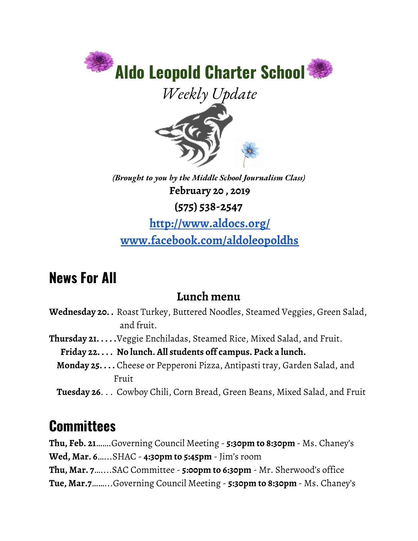

*(Brought to you by the Middle School Journalism Class)* **February 20 , 2019 (575) 538-2547**

**<http://www.aldocs.org/> [www.facebook.com/aldoleopoldhs](http://www.facebook.com/aldoleopoldhs)**

## **News For All**

#### **Lunch menu**

- **Wednesday 20. .** Roast Turkey, Buttered Noodles, Steamed Veggies, Green Salad, and fruit.
- **Thursday 21. . . . .**Veggie Enchiladas, Steamed Rice, Mixed Salad, and Fruit.
	- **Friday 22. . . . No lunch. All students off campus. Pack a lunch.**
	- **Monday 25. . . .** Cheese or Pepperoni Pizza, Antipasti tray, Garden Salad, and Fruit
	- **Tuesday 26**. . . Cowboy Chili, Corn Bread, Green Beans, Mixed Salad, and Fruit

# **Committees**

**Thu, Feb. 21**…….Governing Council Meeting - **5:30pm to 8:30pm** - Ms. Chaney's **Wed, Mar. 6**…...SHAC - **4:30pm to 5:45pm** - Jim's room **Thu, Mar. 7**…....SAC Committee - **5:00pm to 6:30pm** - Mr. Sherwood's office **Tue, Mar.7**……...Governing Council Meeting - **5:30pm to 8:30pm** - Ms. Chaney's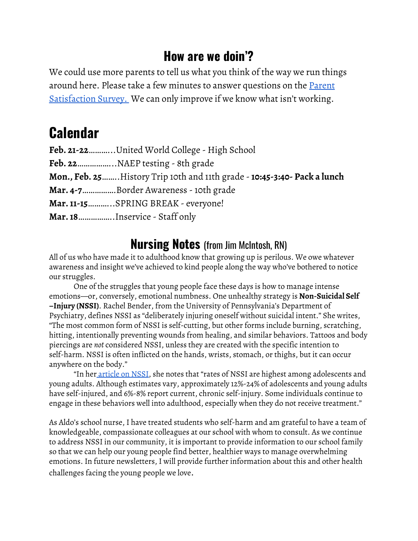#### **How are we doin'?**

We could use more parents to tell us what you think of the way we run things around here. Please take a few minutes to answer questions on the [Parent](https://www.surveymonkey.com/r/P73ZLSM) [Satisfaction](https://www.surveymonkey.com/r/P73ZLSM) Survey. We can only improve if we know what isn't working.

## **Calendar**

| Feb. 21-22United World College - High School                              |
|---------------------------------------------------------------------------|
|                                                                           |
| Mon., Feb. 25 History Trip 10th and 11th grade - 10:45-3:40- Pack a lunch |
| Mar. 4-7Border Awareness - 10th grade                                     |
| Mar. 11-15SPRING BREAK - everyone!                                        |
| Mar. 18Inservice - Staff only                                             |

#### **Nursing Notes** (from Jim McIntosh, RN)

All of us who have made it to adulthood know that growing up is perilous. We owe whatever awareness and insight we've achieved to kind people along the way who've bothered to notice our struggles.

One of the struggles that young people face these days is how to manage intense emotions—or, conversely, emotional numbness. One unhealthy strategy is **Non-Suicidal Self –Injury (NSSI)**. Rachel Bender, from the University of Pennsylvania's Department of Psychiatry, defines NSSI as "deliberately injuring oneself without suicidal intent." She writes, "The most common form of NSSI is self-cutting, but other forms include burning, scratching, hitting, intentionally preventing wounds from healing, and similar behaviors. Tattoos and body piercings are *not* considered NSSI, unless they are created with the specific intention to self-harm. NSSI is often inflicted on the hands, wrists, stomach, or thighs, but it can occur anywhere on the body."

"In her [article](https://www.med.upenn.edu/psychotherapy/newsletter_selfinjury.html) on NSSI, she notes that "rates of NSSI are highest among adolescents and young adults. Although estimates vary, approximately 12%-24% of adolescents and young adults have self-injured, and 6%-8% report current, chronic self-injury. Some individuals continue to engage in these behaviors well into adulthood, especially when they do not receive treatment."

As Aldo's school nurse, I have treated students who self-harm and am grateful to have a team of knowledgeable, compassionate colleagues at our school with whom to consult. As we continue to address NSSI in our community, it is important to provide information to our school family so that we can help our young people find better, healthier ways to manage overwhelming emotions. In future newsletters, I will provide further information about this and other health challenges facing the young people we love.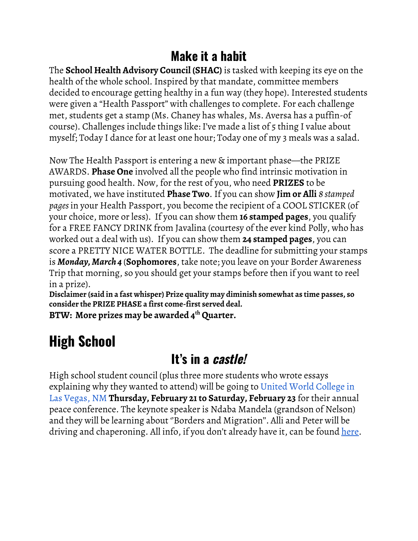#### **Make it a habit**

The **School Health Advisory Council (SHAC)** is tasked with keeping its eye on the health of the whole school. Inspired by that mandate, committee members decided to encourage getting healthy in a fun way (they hope). Interested students were given a "Health Passport" with challenges to complete. For each challenge met, students get a stamp (Ms. Chaney has whales, Ms. Aversa has a puffin-of course). Challenges include things like: I've made a list of 5 thing I value about myself; Today I dance for at least one hour; Today one of my 3 meals was a salad.

Now The Health Passport is entering a new & important phase—the PRIZE AWARDS. **Phase One** involved all the people who find intrinsic motivation in pursuing good health. Now, for the rest of you, who need **PRIZES** to be motivated, we have instituted **Phase Two**. If you can show **Jim or Alli** *8 stamped pages*in your Health Passport, you become the recipient of a COOL STICKER (of your choice, more or less). If you can show them **16 stamped pages**, you qualify for a FREE FANCY DRINK from Javalina (courtesy of the ever kind Polly, who has worked out a deal with us). If you can show them **24 stamped pages**, you can score a PRETTY NICE WATER BOTTLE. The deadline for submitting your stamps is *Monday, March 4* (**Sophomores**, take note; you leave on your Border Awareness Trip that morning, so you should get your stamps before then if you want to reel in a prize).

**Disclaimer (said in a fast whisper) Prize quality may diminish somewhat as time passes, so consider the PRIZE PHASE a first come-first served deal.**

**BTW: More prizes may be awarded 4 th Quarter.**

# **High School**

#### **It's in a castle!**

High school student council (plus three more students who wrote essays explaining why they wanted to attend) will be going to United World [College](https://www.uwc-usa.org/) in Las [Vegas,](https://www.uwc-usa.org/) NM **Thursday, February 21to Saturday, February 23** for their annual peace conference. The keynote speaker is Ndaba Mandela (grandson of Nelson) and they will be learning about ''Borders and Migration''. Alli and Peter will be driving and chaperoning. All info, if you don't already have it, can be found [here.](https://www.aldocs.org/letters-home--permission-slips.html)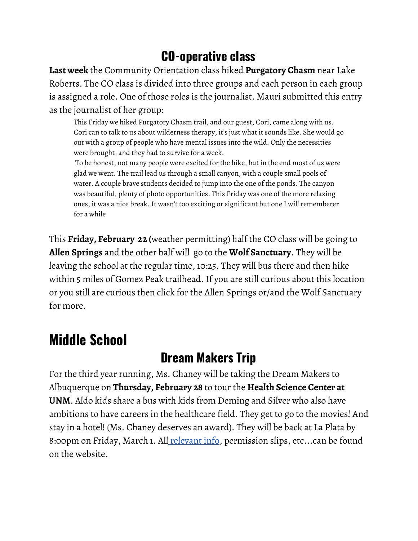### **CO-operative class**

**Last week** the Community Orientation class hiked **Purgatory Chasm** near Lake Roberts. The CO class is divided into three groups and each person in each group is assigned a role. One of those roles is the journalist. Mauri submitted this entry as the journalist of her group:

This Friday we hiked Purgatory Chasm trail, and our guest, Cori, came along with us. Cori can to talk to us about wilderness therapy, it's just what it sounds like. She would go out with a group of people who have mental issues into the wild. Only the necessities were brought, and they had to survive for a week.

To be honest, not many people were excited for the hike, but in the end most of us were glad we went. The trail lead us through a small canyon, with a couple small pools of water. A couple brave students decided to jump into the one of the ponds. The canyon was beautiful, plenty of photo opportunities. This Friday was one of the more relaxing ones, it was a nice break. It wasn't too exciting or significant but one I will rememberer for a while

This **Friday, February 22 (**weather permitting) half the CO class will be going to **Allen Springs** and the other half will go to the **Wolf Sanctuary**. They will be leaving the school at the regular time, 10:25. They will bus there and then hike within 5 miles of Gomez Peak trailhead. If you are still curious about this location or you still are curious then click for the Allen Springs or/and the Wolf Sanctuary for more.

# **Middle School**

### **Dream Makers Trip**

For the third year running, Ms. Chaney will be taking the Dream Makers to Albuquerque on **Thursday, February 28** to tour the **Health Science Center at UNM**. Aldo kids share a bus with kids from Deming and Silver who also have ambitions to have careers in the healthcare field. They get to go to the movies! And stay in a hotel! (Ms. Chaney deserves an award). They will be back at La Plata by 8:00pm on Friday, March 1. All [relevant](https://www.aldocs.org/letters-home--permission-slips.html) info, permission slips, etc...can be found on the website.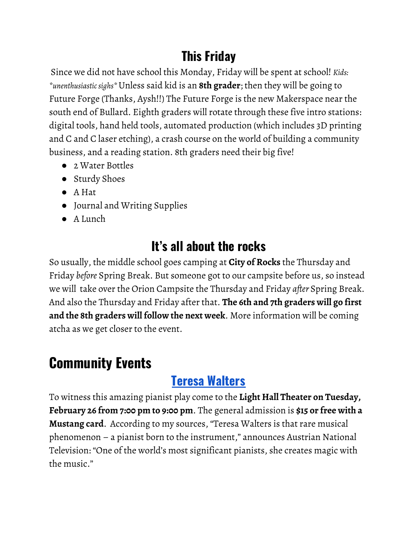### **This Friday**

Since we did not have school this Monday, Friday will be spent at school! *Kids: \*unenthusiasticsighs\**Unless said kid is an **8th grader**; then they will be going to Future Forge (Thanks, Aysh!!) The Future Forge is the new Makerspace near the south end of Bullard. Eighth graders will rotate through these five intro stations: digital tools, hand held tools, automated production (which includes 3D printing and C and C laser etching), a crash course on the world of building a community business, and a reading station. 8th graders need their big five!

- 2 Water Bottles
- Sturdy Shoes
- A Hat
- Journal and Writing Supplies
- A Lunch

### **It's all about the rocks**

So usually, the middle school goes camping at **City of Rocks** the Thursday and Friday *before* Spring Break. But someone got to our campsite before us, so instead we will take over the Orion Campsite the Thursday and Friday *after* Spring Break. And also the Thursday and Friday after that. **The 6th and 7th graders will go first and the 8th graders will follow the next week**. More information will be coming atcha as we get closer to the event.

# **Community Events**

### **Teresa [Walters](https://wnmu.edu/events/presidents-chamber-music-series-steinway-artist-teresa-walters/)**

To witness this amazing pianist play come to the **Light Hall Theater on Tuesday, February 26 from 7:00 pm to 9:00 pm**. The general admission is **\$15 or free with a Mustang card**. According to my sources, "Teresa Walters is that rare musical phenomenon – a pianist born to the instrument," announces Austrian National Television: "One of the world's most significant pianists, she creates magic with the music."